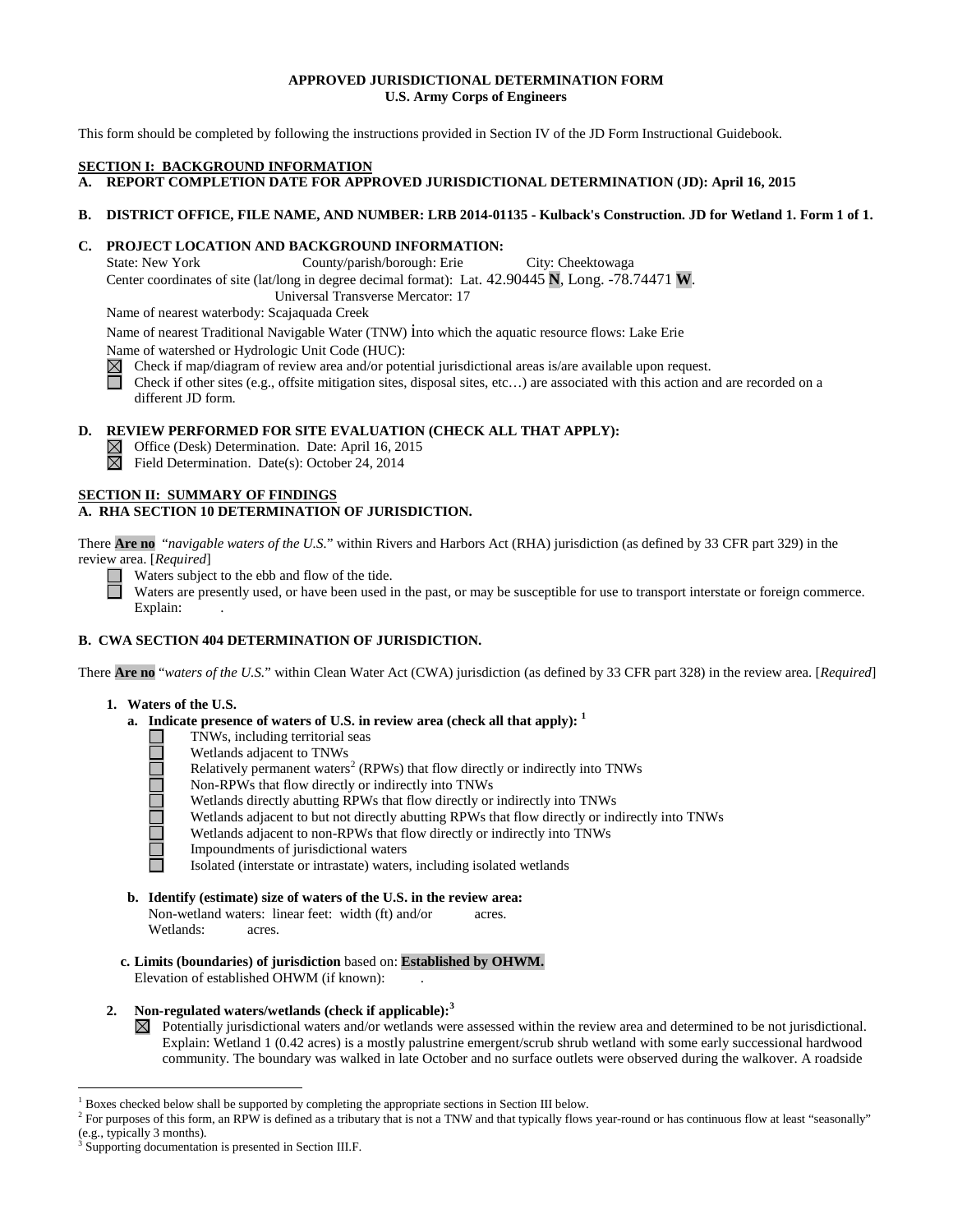## **APPROVED JURISDICTIONAL DETERMINATION FORM U.S. Army Corps of Engineers**

This form should be completed by following the instructions provided in Section IV of the JD Form Instructional Guidebook.

### **SECTION I: BACKGROUND INFORMATION**

**A. REPORT COMPLETION DATE FOR APPROVED JURISDICTIONAL DETERMINATION (JD): April 16, 2015** 

# **B. DISTRICT OFFICE, FILE NAME, AND NUMBER: LRB 2014-01135 - Kulback's Construction. JD for Wetland 1. Form 1 of 1.**

# **C. PROJECT LOCATION AND BACKGROUND INFORMATION:**

State: New York County/parish/borough: Erie City: Cheektowaga

Center coordinates of site (lat/long in degree decimal format): Lat. 42.90445 **N**, Long. -78.74471 **W**.

Universal Transverse Mercator: 17

Name of nearest waterbody: Scajaquada Creek

Name of nearest Traditional Navigable Water (TNW) into which the aquatic resource flows: Lake Erie

Name of watershed or Hydrologic Unit Code (HUC):

 $\boxtimes$  Check if map/diagram of review area and/or potential jurisdictional areas is/are available upon request.

Check if other sites (e.g., offsite mitigation sites, disposal sites, etc...) are associated with this action and are recorded on a different JD form.

# **D. REVIEW PERFORMED FOR SITE EVALUATION (CHECK ALL THAT APPLY):**

 $\boxtimes$  Office (Desk) Determination. Date: April 16, 2015

 $\overline{\boxtimes}$  Field Determination. Date(s): October 24, 2014

# **SECTION II: SUMMARY OF FINDINGS**

# **A. RHA SECTION 10 DETERMINATION OF JURISDICTION.**

There **Are no** "*navigable waters of the U.S.*" within Rivers and Harbors Act (RHA) jurisdiction (as defined by 33 CFR part 329) in the review area. [*Required*]

Waters subject to the ebb and flow of the tide.

Waters are presently used, or have been used in the past, or may be susceptible for use to transport interstate or foreign commerce. Explain:

# **B. CWA SECTION 404 DETERMINATION OF JURISDICTION.**

There **Are no** "*waters of the U.S.*" within Clean Water Act (CWA) jurisdiction (as defined by 33 CFR part 328) in the review area. [*Required*]

# **1. Waters of the U.S.**

- **a. Indicate presence of waters of U.S. in review area (check all that apply): <sup>1</sup>**
	- TNWs, including territorial seas
	- Wetlands adjacent to TNWs
	- Relatively permanent waters<sup>2</sup> (RPWs) that flow directly or indirectly into TNWs
	- Non-RPWs that flow directly or indirectly into TNWs
	- Wetlands directly abutting RPWs that flow directly or indirectly into TNWs
	- a alama Wetlands adjacent to but not directly abutting RPWs that flow directly or indirectly into TNWs
		- Wetlands adjacent to non-RPWs that flow directly or indirectly into TNWs
		- Impoundments of jurisdictional waters

Isolated (interstate or intrastate) waters, including isolated wetlands

- **b. Identify (estimate) size of waters of the U.S. in the review area:** Non-wetland waters: linear feet: width (ft) and/or acres. Wetlands: acres.
- **c. Limits (boundaries) of jurisdiction** based on: **Established by OHWM.** Elevation of established OHWM (if known):

# **2. Non-regulated waters/wetlands (check if applicable): 3**

 $\boxtimes$  Potentially jurisdictional waters and/or wetlands were assessed within the review area and determined to be not jurisdictional. Explain: Wetland 1 (0.42 acres) is a mostly palustrine emergent/scrub shrub wetland with some early successional hardwood community. The boundary was walked in late October and no surface outlets were observed during the walkover. A roadside

<sup>&</sup>lt;sup>1</sup> Boxes checked below shall be supported by completing the appropriate sections in Section III below.

 $2^2$  For purposes of this form, an RPW is defined as a tributary that is not a TNW and that typically flows year-round or has continuous flow at least "seasonally" (e.g., typically 3 months).

Supporting documentation is presented in Section III.F.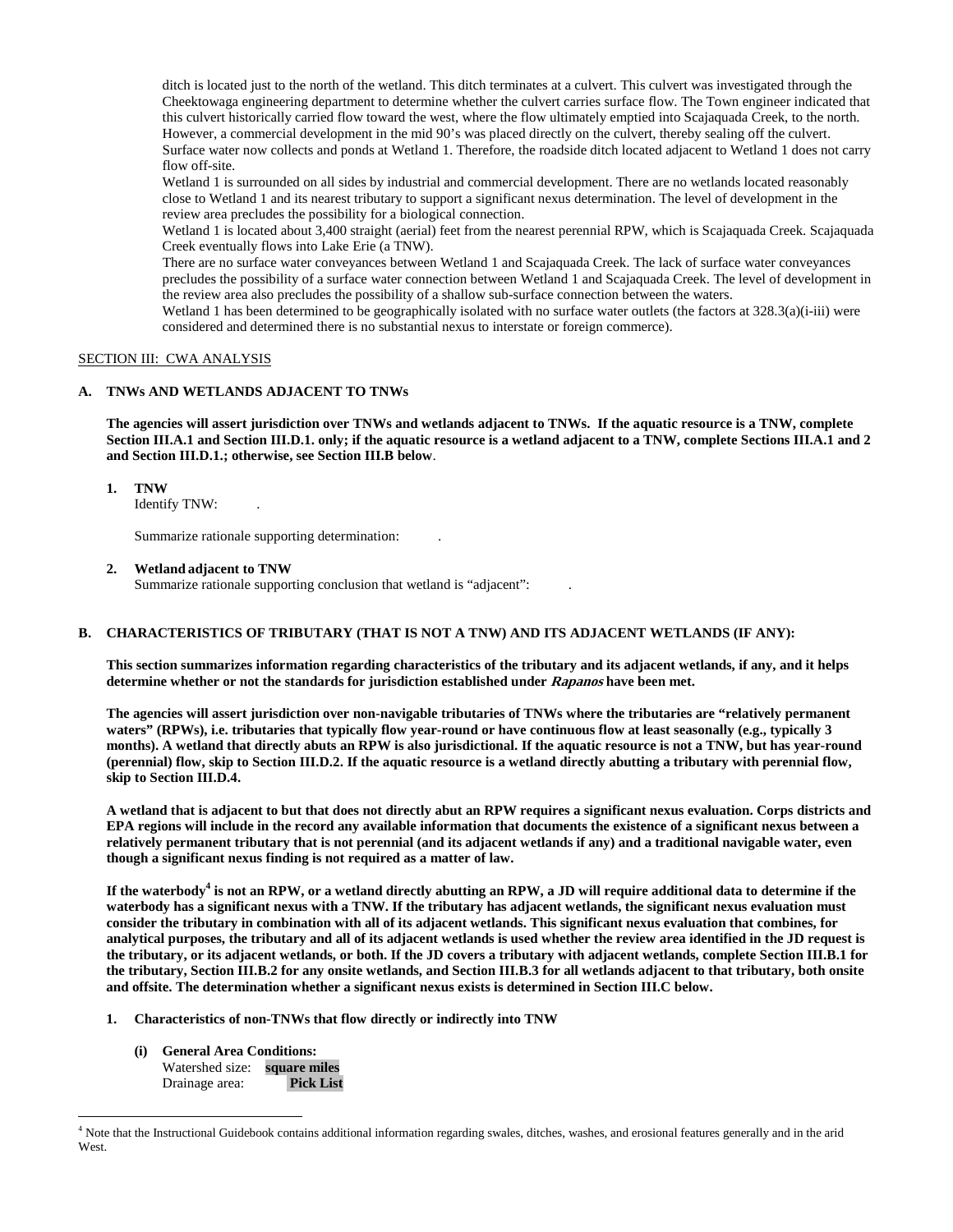ditch is located just to the north of the wetland. This ditch terminates at a culvert. This culvert was investigated through the Cheektowaga engineering department to determine whether the culvert carries surface flow. The Town engineer indicated that this culvert historically carried flow toward the west, where the flow ultimately emptied into Scajaquada Creek, to the north. However, a commercial development in the mid 90's was placed directly on the culvert, thereby sealing off the culvert. Surface water now collects and ponds at Wetland 1. Therefore, the roadside ditch located adjacent to Wetland 1 does not carry flow off-site.

Wetland 1 is surrounded on all sides by industrial and commercial development. There are no wetlands located reasonably close to Wetland 1 and its nearest tributary to support a significant nexus determination. The level of development in the review area precludes the possibility for a biological connection.

Wetland 1 is located about 3,400 straight (aerial) feet from the nearest perennial RPW, which is Scajaquada Creek. Scajaquada Creek eventually flows into Lake Erie (a TNW).

 There are no surface water conveyances between Wetland 1 and Scajaquada Creek. The lack of surface water conveyances precludes the possibility of a surface water connection between Wetland 1 and Scajaquada Creek. The level of development in the review area also precludes the possibility of a shallow sub-surface connection between the waters.

Wetland 1 has been determined to be geographically isolated with no surface water outlets (the factors at 328.3(a)(i-iii) were considered and determined there is no substantial nexus to interstate or foreign commerce).

#### SECTION III: CWA ANALYSIS

### **A. TNWs AND WETLANDS ADJACENT TO TNWs**

**The agencies will assert jurisdiction over TNWs and wetlands adjacent to TNWs. If the aquatic resource is a TNW, complete Section III.A.1 and Section III.D.1. only; if the aquatic resource is a wetland adjacent to a TNW, complete Sections III.A.1 and 2 and Section III.D.1.; otherwise, see Section III.B below**.

#### **1. TNW**

Identify TNW: .

Summarize rationale supporting determination: .

**2. Wetland adjacent to TNW** 

Summarize rationale supporting conclusion that wetland is "adjacent": .

#### **B. CHARACTERISTICS OF TRIBUTARY (THAT IS NOT A TNW) AND ITS ADJACENT WETLANDS (IF ANY):**

**This section summarizes information regarding characteristics of the tributary and its adjacent wetlands, if any, and it helps determine whether or not the standards for jurisdiction established under Rapanos have been met.** 

**The agencies will assert jurisdiction over non-navigable tributaries of TNWs where the tributaries are "relatively permanent waters" (RPWs), i.e. tributaries that typically flow year-round or have continuous flow at least seasonally (e.g., typically 3 months). A wetland that directly abuts an RPW is also jurisdictional. If the aquatic resource is not a TNW, but has year-round (perennial) flow, skip to Section III.D.2. If the aquatic resource is a wetland directly abutting a tributary with perennial flow, skip to Section III.D.4.**

**A wetland that is adjacent to but that does not directly abut an RPW requires a significant nexus evaluation. Corps districts and EPA regions will include in the record any available information that documents the existence of a significant nexus between a relatively permanent tributary that is not perennial (and its adjacent wetlands if any) and a traditional navigable water, even though a significant nexus finding is not required as a matter of law.**

**If the waterbody<sup>4</sup> is not an RPW, or a wetland directly abutting an RPW, a JD will require additional data to determine if the waterbody has a significant nexus with a TNW. If the tributary has adjacent wetlands, the significant nexus evaluation must consider the tributary in combination with all of its adjacent wetlands. This significant nexus evaluation that combines, for analytical purposes, the tributary and all of its adjacent wetlands is used whether the review area identified in the JD request is the tributary, or its adjacent wetlands, or both. If the JD covers a tributary with adjacent wetlands, complete Section III.B.1 for the tributary, Section III.B.2 for any onsite wetlands, and Section III.B.3 for all wetlands adjacent to that tributary, both onsite and offsite. The determination whether a significant nexus exists is determined in Section III.C below.**

- **1. Characteristics of non-TNWs that flow directly or indirectly into TNW**
	- **(i) General Area Conditions:**

Watershed size: **square miles** Drainage area: **Pick List**

 <sup>4</sup> Note that the Instructional Guidebook contains additional information regarding swales, ditches, washes, and erosional features generally and in the arid West.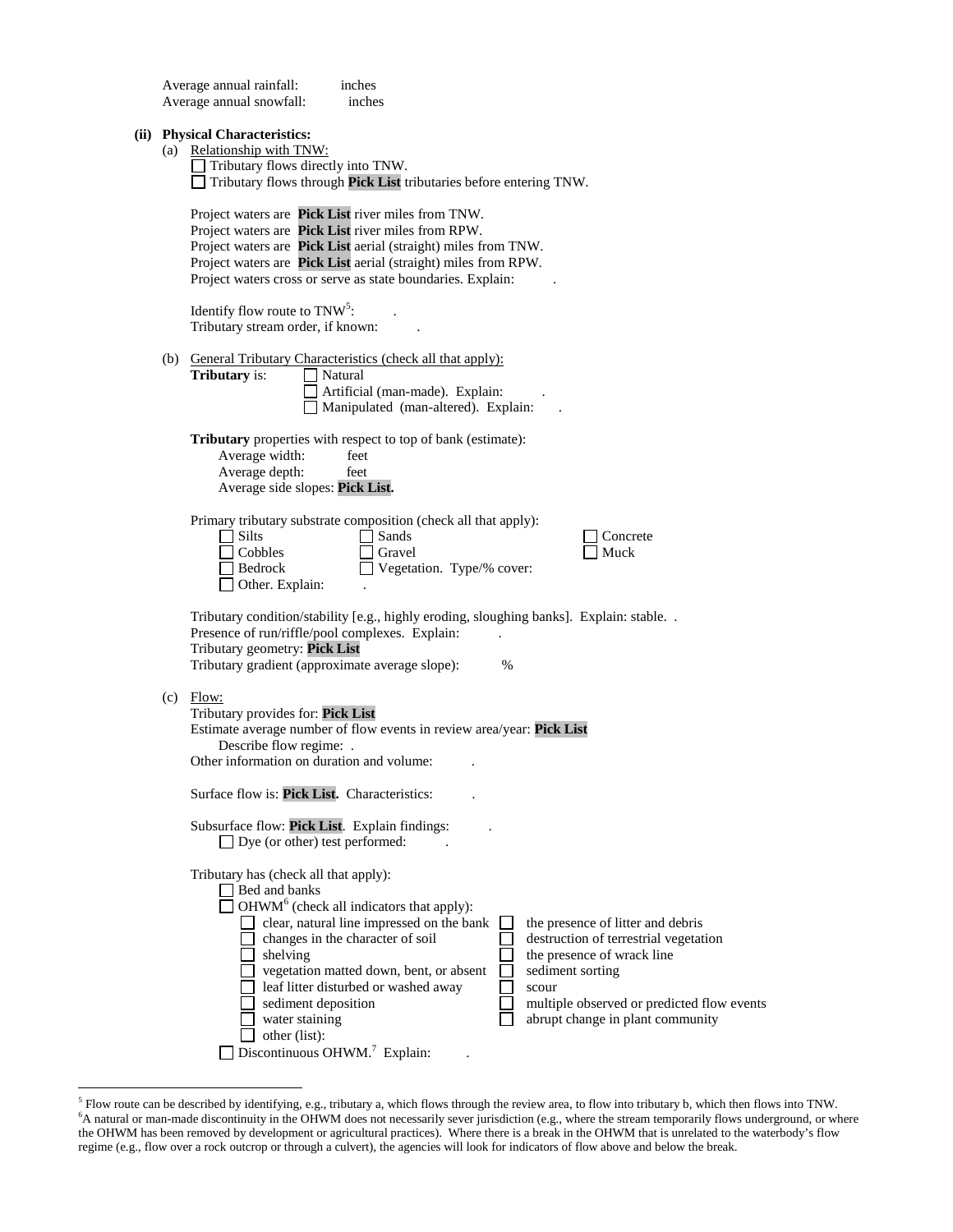|  | Average annual rainfall:<br>inches<br>Average annual snowfall:<br>inches                                                                                                                                                                                                                                                                                                                                                                                                                                                                                                                                                                              |
|--|-------------------------------------------------------------------------------------------------------------------------------------------------------------------------------------------------------------------------------------------------------------------------------------------------------------------------------------------------------------------------------------------------------------------------------------------------------------------------------------------------------------------------------------------------------------------------------------------------------------------------------------------------------|
|  | (ii) Physical Characteristics:<br>(a) Relationship with TNW:<br>Tributary flows directly into TNW.<br>Tributary flows through Pick List tributaries before entering TNW.                                                                                                                                                                                                                                                                                                                                                                                                                                                                              |
|  | Project waters are Pick List river miles from TNW.<br>Project waters are Pick List river miles from RPW.<br>Project waters are Pick List aerial (straight) miles from TNW.<br>Project waters are Pick List aerial (straight) miles from RPW.<br>Project waters cross or serve as state boundaries. Explain:                                                                                                                                                                                                                                                                                                                                           |
|  | Identify flow route to $TNW5$ :<br>Tributary stream order, if known:                                                                                                                                                                                                                                                                                                                                                                                                                                                                                                                                                                                  |
|  | (b) General Tributary Characteristics (check all that apply):<br>Tributary is:<br>Natural<br>Artificial (man-made). Explain:<br>Manipulated (man-altered). Explain:                                                                                                                                                                                                                                                                                                                                                                                                                                                                                   |
|  | <b>Tributary</b> properties with respect to top of bank (estimate):<br>Average width:<br>feet<br>Average depth:<br>feet<br>Average side slopes: Pick List.                                                                                                                                                                                                                                                                                                                                                                                                                                                                                            |
|  | Primary tributary substrate composition (check all that apply):<br>$\exists$ Silts<br>Sands<br>Concrete<br>$\Box$ Cobbles<br>Muck<br>Gravel<br>Vegetation. Type/% cover:<br>Bedrock<br>$\Box$ Other. Explain:                                                                                                                                                                                                                                                                                                                                                                                                                                         |
|  | Tributary condition/stability [e.g., highly eroding, sloughing banks]. Explain: stable. .<br>Presence of run/riffle/pool complexes. Explain:<br>Tributary geometry: Pick List<br>Tributary gradient (approximate average slope):<br>$\%$                                                                                                                                                                                                                                                                                                                                                                                                              |
|  | $(c)$ Flow:<br>Tributary provides for: Pick List<br>Estimate average number of flow events in review area/year: Pick List<br>Describe flow regime: .<br>Other information on duration and volume:                                                                                                                                                                                                                                                                                                                                                                                                                                                     |
|  | Surface flow is: Pick List. Characteristics:                                                                                                                                                                                                                                                                                                                                                                                                                                                                                                                                                                                                          |
|  | Subsurface flow: Pick List. Explain findings:<br>$\Box$ Dye (or other) test performed:                                                                                                                                                                                                                                                                                                                                                                                                                                                                                                                                                                |
|  | Tributary has (check all that apply):<br>$\Box$ Bed and banks<br>$\Box$ OHWM <sup>6</sup> (check all indicators that apply):<br>clear, natural line impressed on the bank<br>the presence of litter and debris<br>changes in the character of soil<br>destruction of terrestrial vegetation<br>the presence of wrack line<br>$\Box$ shelving<br>vegetation matted down, bent, or absent<br>sediment sorting<br>leaf litter disturbed or washed away<br>scour<br>sediment deposition<br>multiple observed or predicted flow events<br>water staining<br>abrupt change in plant community<br>other (list):<br>Discontinuous OHWM. <sup>7</sup> Explain: |

<sup>&</sup>lt;sup>5</sup> Flow route can be described by identifying, e.g., tributary a, which flows through the review area, to flow into tributary b, which then flows into TNW.<br><sup>6</sup>A natural or man-made discontinuity in the OHWM does not neces the OHWM has been removed by development or agricultural practices). Where there is a break in the OHWM that is unrelated to the waterbody's flow regime (e.g., flow over a rock outcrop or through a culvert), the agencies will look for indicators of flow above and below the break.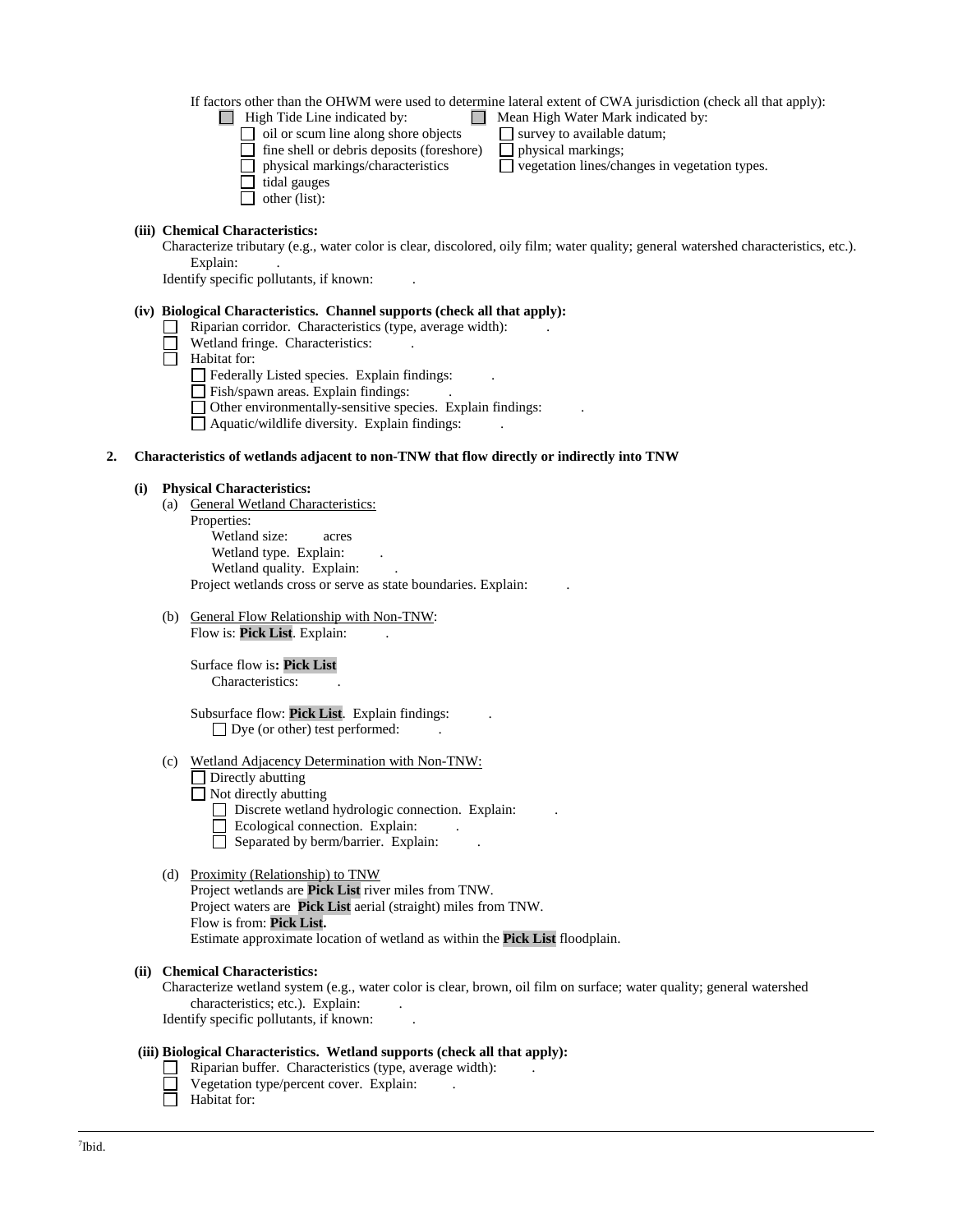#### If factors other than the OHWM were used to determine lateral extent of CWA jurisdiction (check all that apply):

- $\Box$  High Tide Line indicated by:  $\Box$  Mean High Water Mark indicated by:
	-
	- oil or scum line along shore objects  $\Box$  survey to available datum;<br> $\Box$  fine shell or debris deposits (foreshore)  $\Box$  physical markings;  $\Box$  fine shell or debris deposits (foreshore)<br> $\Box$  physical markings/characteristics
	- - $\square$  vegetation lines/changes in vegetation types.
	- tidal gauges
	- $\Box$  other (list):

### **(iii) Chemical Characteristics:**

Characterize tributary (e.g., water color is clear, discolored, oily film; water quality; general watershed characteristics, etc.). Explain:

Identify specific pollutants, if known: .

#### **(iv) Biological Characteristics. Channel supports (check all that apply):**

- $\Box$  Riparian corridor. Characteristics (type, average width):
- П Wetland fringe. Characteristics:
- Habitat for:
	- $\hfill\Box$  <br> Federally Listed species. Explain findings:
	- Fish/spawn areas. Explain findings: .
	- $\Box$  Other environmentally-sensitive species. Explain findings:
	- $\Box$  Aquatic/wildlife diversity. Explain findings:

### **2. Characteristics of wetlands adjacent to non-TNW that flow directly or indirectly into TNW**

### **(i) Physical Characteristics:**

- (a) General Wetland Characteristics: Properties: Wetland size: acres Wetland type. Explain: Wetland quality. Explain: Project wetlands cross or serve as state boundaries. Explain: .
- (b) General Flow Relationship with Non-TNW: Flow is: **Pick List**. Explain:

### Surface flow is**: Pick List**  Characteristics: .

- Subsurface flow: **Pick List**. Explain findings: .  $\Box$  Dye (or other) test performed:
- (c) Wetland Adjacency Determination with Non-TNW:
	- $\Box$  Directly abutting
	- $\Box$  Not directly abutting
		- Discrete wetland hydrologic connection. Explain:
		- $\Box$  Ecological connection. Explain:
		- $\Box$  Separated by berm/barrier. Explain:

### (d) Proximity (Relationship) to TNW

Project wetlands are **Pick List** river miles from TNW. Project waters are **Pick List** aerial (straight) miles from TNW. Flow is from: **Pick List.** Estimate approximate location of wetland as within the **Pick List** floodplain.

### **(ii) Chemical Characteristics:**

Characterize wetland system (e.g., water color is clear, brown, oil film on surface; water quality; general watershed characteristics; etc.). Explain: Identify specific pollutants, if known: .

### **(iii) Biological Characteristics. Wetland supports (check all that apply):**

- Riparian buffer. Characteristics (type, average width): .
- Vegetation type/percent cover. Explain: .
- $\Box$  Habitat for: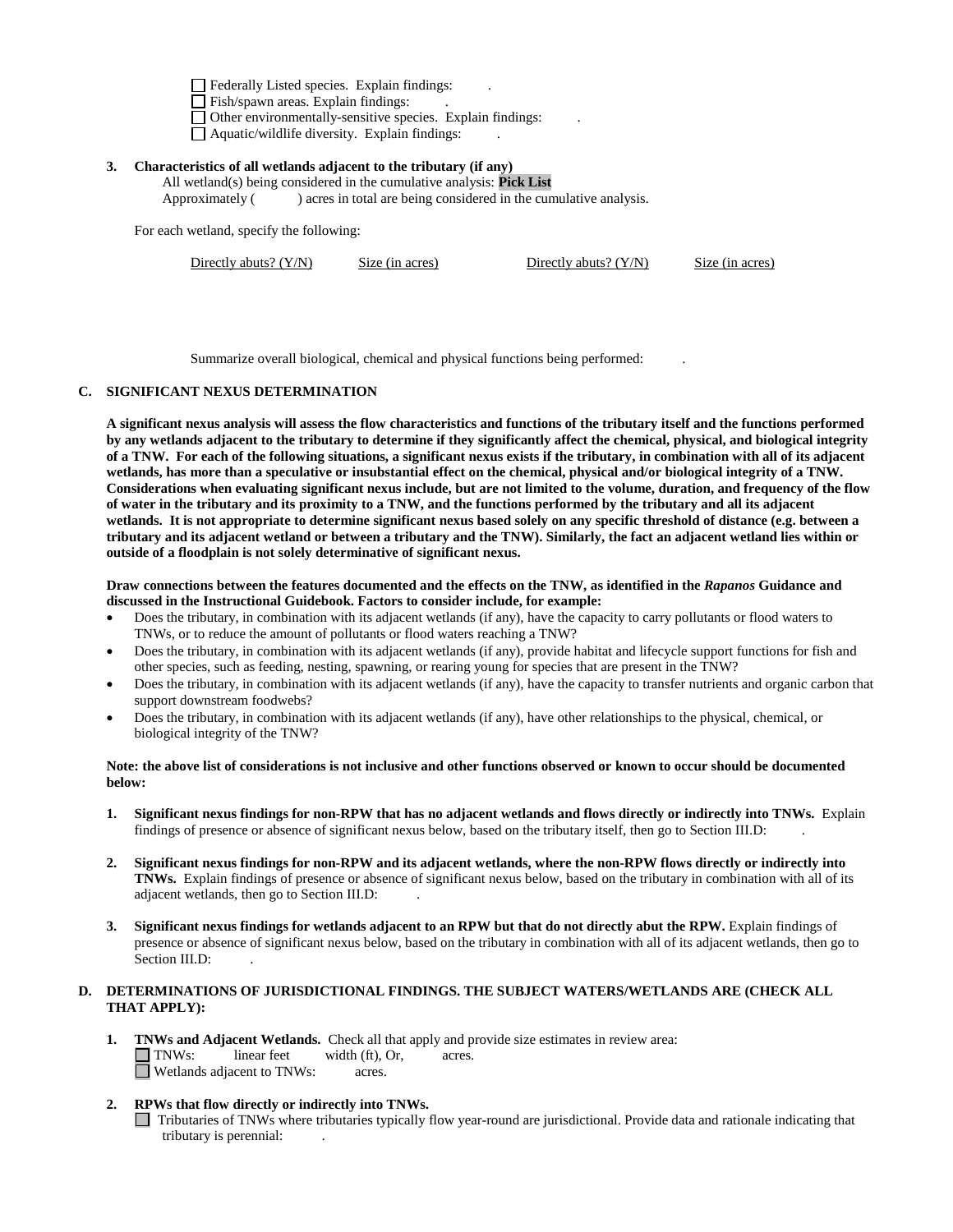Federally Listed species. Explain findings: .

Fish/spawn areas. Explain findings:

 $\Box$  Other environmentally-sensitive species. Explain findings:  $\Box$  Aquatic/wildlife diversity. Explain findings:

# **3. Characteristics of all wetlands adjacent to the tributary (if any)**

All wetland(s) being considered in the cumulative analysis: **Pick List** Approximately () acres in total are being considered in the cumulative analysis.

For each wetland, specify the following:

Directly abuts? (Y/N) Size (in acres) Directly abuts? (Y/N) Size (in acres)

Summarize overall biological, chemical and physical functions being performed: .

### **C. SIGNIFICANT NEXUS DETERMINATION**

**A significant nexus analysis will assess the flow characteristics and functions of the tributary itself and the functions performed by any wetlands adjacent to the tributary to determine if they significantly affect the chemical, physical, and biological integrity of a TNW. For each of the following situations, a significant nexus exists if the tributary, in combination with all of its adjacent wetlands, has more than a speculative or insubstantial effect on the chemical, physical and/or biological integrity of a TNW. Considerations when evaluating significant nexus include, but are not limited to the volume, duration, and frequency of the flow of water in the tributary and its proximity to a TNW, and the functions performed by the tributary and all its adjacent wetlands. It is not appropriate to determine significant nexus based solely on any specific threshold of distance (e.g. between a tributary and its adjacent wetland or between a tributary and the TNW). Similarly, the fact an adjacent wetland lies within or outside of a floodplain is not solely determinative of significant nexus.** 

**Draw connections between the features documented and the effects on the TNW, as identified in the** *Rapanos* **Guidance and discussed in the Instructional Guidebook. Factors to consider include, for example:**

- Does the tributary, in combination with its adjacent wetlands (if any), have the capacity to carry pollutants or flood waters to TNWs, or to reduce the amount of pollutants or flood waters reaching a TNW?
- Does the tributary, in combination with its adjacent wetlands (if any), provide habitat and lifecycle support functions for fish and other species, such as feeding, nesting, spawning, or rearing young for species that are present in the TNW?
- Does the tributary, in combination with its adjacent wetlands (if any), have the capacity to transfer nutrients and organic carbon that support downstream foodwebs?
- Does the tributary, in combination with its adjacent wetlands (if any), have other relationships to the physical, chemical, or biological integrity of the TNW?

#### **Note: the above list of considerations is not inclusive and other functions observed or known to occur should be documented below:**

- **1. Significant nexus findings for non-RPW that has no adjacent wetlands and flows directly or indirectly into TNWs.** Explain findings of presence or absence of significant nexus below, based on the tributary itself, then go to Section III.D: .
- **2. Significant nexus findings for non-RPW and its adjacent wetlands, where the non-RPW flows directly or indirectly into TNWs.** Explain findings of presence or absence of significant nexus below, based on the tributary in combination with all of its adjacent wetlands, then go to Section III.D: .
- **3. Significant nexus findings for wetlands adjacent to an RPW but that do not directly abut the RPW.** Explain findings of presence or absence of significant nexus below, based on the tributary in combination with all of its adjacent wetlands, then go to Section III.D:

# **D. DETERMINATIONS OF JURISDICTIONAL FINDINGS. THE SUBJECT WATERS/WETLANDS ARE (CHECK ALL THAT APPLY):**

**1. TNWs and Adjacent Wetlands.** Check all that apply and provide size estimates in review area: TNWs: linear feet width (ft), Or, acres. **N** Wetlands adjacent to TNWs: acres.

# **2. RPWs that flow directly or indirectly into TNWs.**

Tributaries of TNWs where tributaries typically flow year-round are jurisdictional. Provide data and rationale indicating that tributary is perennial: .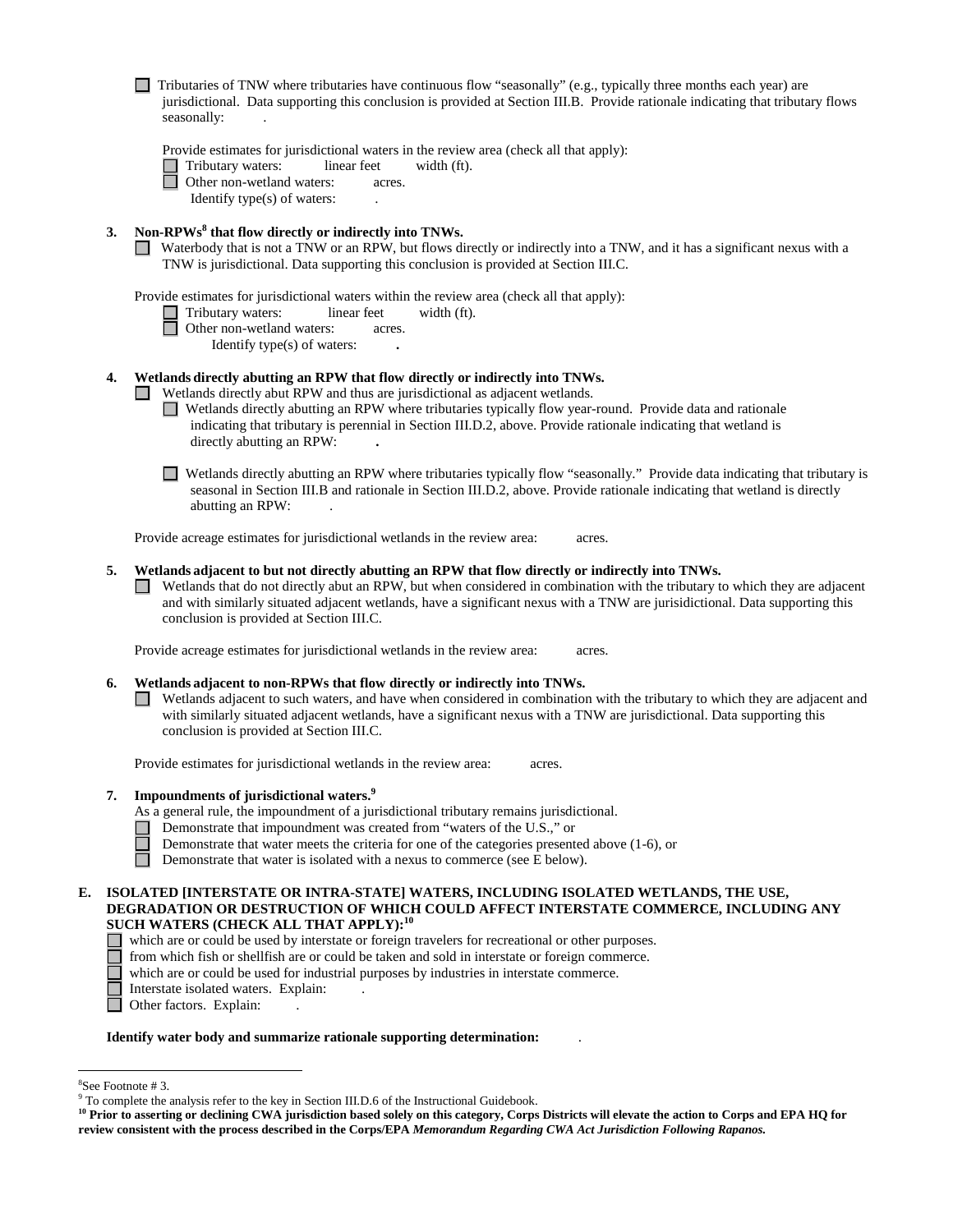|    |    | Tributaries of TNW where tributaries have continuous flow "seasonally" (e.g., typically three months each year) are<br>jurisdictional. Data supporting this conclusion is provided at Section III.B. Provide rationale indicating that tributary flows<br>seasonally:                                                                                                                                                                 |
|----|----|---------------------------------------------------------------------------------------------------------------------------------------------------------------------------------------------------------------------------------------------------------------------------------------------------------------------------------------------------------------------------------------------------------------------------------------|
|    |    | Provide estimates for jurisdictional waters in the review area (check all that apply):<br>Tributary waters:<br>linear feet<br>width (ft).<br>Other non-wetland waters:<br>acres.<br>Identify type(s) of waters:                                                                                                                                                                                                                       |
|    | 3. | Non-RPWs <sup>8</sup> that flow directly or indirectly into TNWs.<br>Waterbody that is not a TNW or an RPW, but flows directly or indirectly into a TNW, and it has a significant nexus with a<br>TNW is jurisdictional. Data supporting this conclusion is provided at Section III.C.                                                                                                                                                |
|    |    | Provide estimates for jurisdictional waters within the review area (check all that apply):<br>Tributary waters:<br>linear feet<br>width (ft).<br>Other non-wetland waters:<br>acres.<br>Identify type(s) of waters:                                                                                                                                                                                                                   |
|    | 4. | Wetlands directly abutting an RPW that flow directly or indirectly into TNWs.<br>Wetlands directly abut RPW and thus are jurisdictional as adjacent wetlands.<br>Wetlands directly abutting an RPW where tributaries typically flow year-round. Provide data and rationale<br>indicating that tributary is perennial in Section III.D.2, above. Provide rationale indicating that wetland is<br>directly abutting an RPW:             |
|    |    | Wetlands directly abutting an RPW where tributaries typically flow "seasonally." Provide data indicating that tributary is<br>seasonal in Section III.B and rationale in Section III.D.2, above. Provide rationale indicating that wetland is directly<br>abutting an RPW:                                                                                                                                                            |
|    |    | Provide acreage estimates for jurisdictional wetlands in the review area:<br>acres.                                                                                                                                                                                                                                                                                                                                                   |
|    | 5. | Wetlands adjacent to but not directly abutting an RPW that flow directly or indirectly into TNWs.<br>Wetlands that do not directly abut an RPW, but when considered in combination with the tributary to which they are adjacent<br>and with similarly situated adjacent wetlands, have a significant nexus with a TNW are jurisidictional. Data supporting this<br>conclusion is provided at Section III.C.                          |
|    |    | Provide acreage estimates for jurisdictional wetlands in the review area:<br>acres.                                                                                                                                                                                                                                                                                                                                                   |
|    | 6. | Wetlands adjacent to non-RPWs that flow directly or indirectly into TNWs.<br>Wetlands adjacent to such waters, and have when considered in combination with the tributary to which they are adjacent and<br>with similarly situated adjacent wetlands, have a significant nexus with a TNW are jurisdictional. Data supporting this<br>conclusion is provided at Section III.C.                                                       |
|    |    | Provide estimates for jurisdictional wetlands in the review area:<br>acres.                                                                                                                                                                                                                                                                                                                                                           |
|    | 7. | Impoundments of jurisdictional waters. <sup>9</sup><br>As a general rule, the impoundment of a jurisdictional tributary remains jurisdictional.<br>Demonstrate that impoundment was created from "waters of the U.S.," or<br>Demonstrate that water meets the criteria for one of the categories presented above $(1-6)$ , or<br>Demonstrate that water is isolated with a nexus to commerce (see E below).                           |
| E. |    | ISOLATED [INTERSTATE OR INTRA-STATE] WATERS, INCLUDING ISOLATED WETLANDS, THE USE,<br>DEGRADATION OR DESTRUCTION OF WHICH COULD AFFECT INTERSTATE COMMERCE, INCLUDING ANY<br>SUCH WATERS (CHECK ALL THAT APPLY): <sup>10</sup><br>which are or could be used by interstate or foreign travelers for recreational or other purposes.<br>from which fish or shellfish are or could be taken and sold in interstate or foreign commerce. |

- which are or could be used for industrial purposes by industries in interstate commerce.
- Interstate isolated waters. Explain: .
- Other factors. **Explain:** .

#### **Identify water body and summarize rationale supporting determination:** .

 <sup>8</sup>

See Footnote # 3.<br>9 To complete the analysis refer to the key in Section III.D.6 of the Instructional Guidebook.

<sup>&</sup>lt;sup>10</sup> Prior to asserting or declining CWA jurisdiction based solely on this category, Corps Districts will elevate the action to Corps and EPA HQ for **review consistent with the process described in the Corps/EPA** *Memorandum Regarding CWA Act Jurisdiction Following Rapanos.*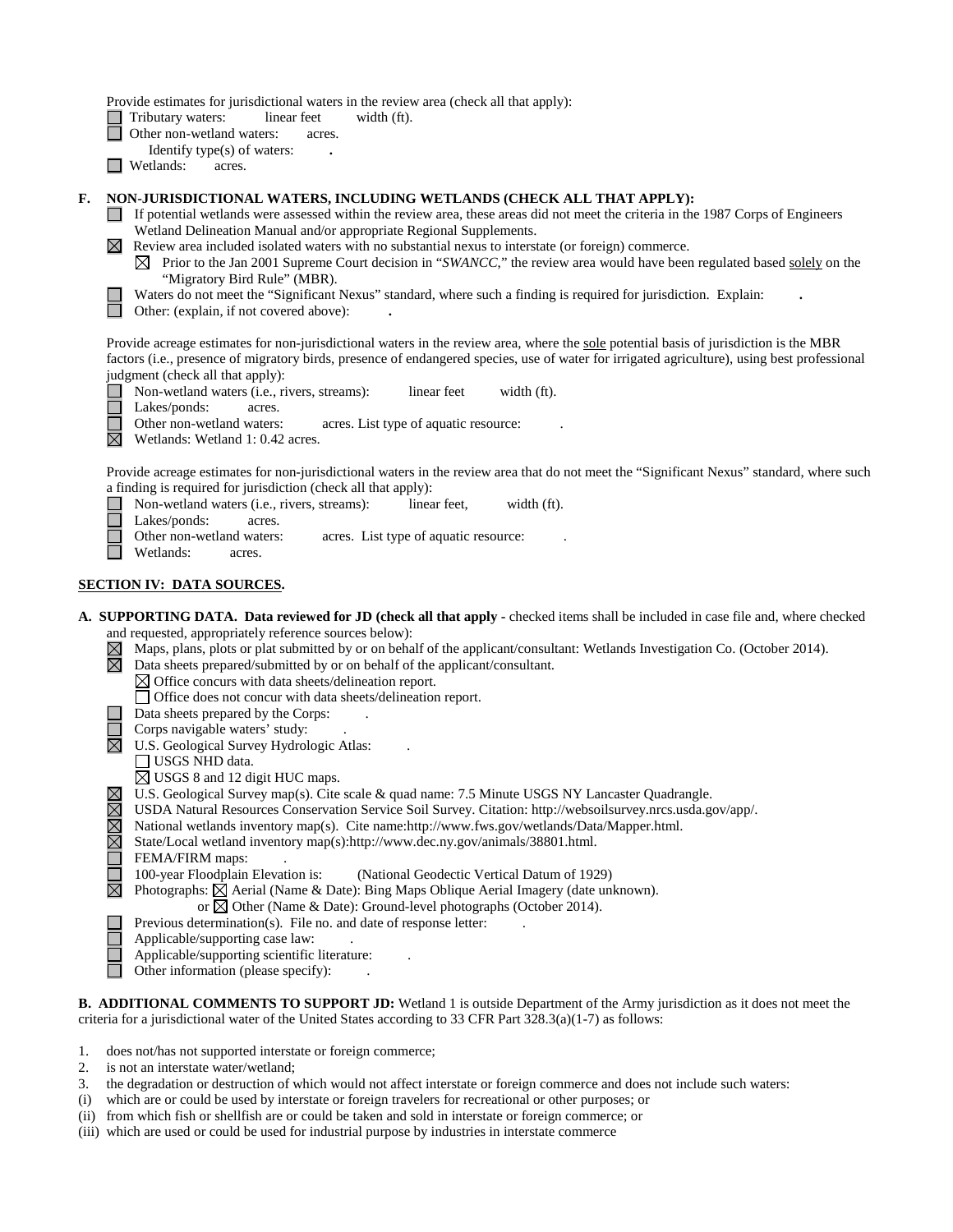Provide estimates for jurisdictional waters in the review area (check all that apply):

- Tributary waters: linear feet width (ft).
- **d** Other non-wetland waters: acres.
	- Identify type(s) of waters: **.**
- □ Wetlands: acres.

### **F. NON-JURISDICTIONAL WATERS, INCLUDING WETLANDS (CHECK ALL THAT APPLY):**

- If potential wetlands were assessed within the review area, these areas did not meet the criteria in the 1987 Corps of Engineers Wetland Delineation Manual and/or appropriate Regional Supplements.
- $\boxtimes$  Review area included isolated waters with no substantial nexus to interstate (or foreign) commerce.
	- $\boxtimes$  Prior to the Jan 2001 Supreme Court decision in "*SWANCC*," the review area would have been regulated based solely on the "Migratory Bird Rule" (MBR).
	- Waters do not meet the "Significant Nexus" standard, where such a finding is required for jurisdiction. Explain: **.**
	- Other: (explain, if not covered above): **.**

Provide acreage estimates for non-jurisdictional waters in the review area, where the sole potential basis of jurisdiction is the MBR factors (i.e., presence of migratory birds, presence of endangered species, use of water for irrigated agriculture), using best professional judgment (check all that apply):

- Non-wetland waters (i.e., rivers, streams): linear feet width (ft).  $\Box$
- Lakes/ponds: acres. П

Other non-wetland waters: acres. List type of aquatic resource:

⊠ Wetlands: Wetland 1: 0.42 acres.

Provide acreage estimates for non-jurisdictional waters in the review area that do not meet the "Significant Nexus" standard, where such a finding is required for jurisdiction (check all that apply):

- $\Box$ Non-wetland waters (i.e., rivers, streams): linear feet, width (ft).
	- Lakes/ponds: acres.
		- Other non-wetland waters: acres. List type of aquatic resource:
- Wetlands: acres.

# **SECTION IV: DATA SOURCES.**

- **A. SUPPORTING DATA. Data reviewed for JD (check all that apply -** checked items shall be included in case file and, where checked and requested, appropriately reference sources below):
	- $\boxtimes$  Maps, plans, plots or plat submitted by or on behalf of the applicant/consultant: Wetlands Investigation Co. (October 2014).
	- 岗 Data sheets prepared/submitted by or on behalf of the applicant/consultant.
		- $\boxtimes$  Office concurs with data sheets/delineation report.
		- Office does not concur with data sheets/delineation report.
	- Data sheets prepared by the Corps: .
	- Corps navigable waters' study:
	- $\boxtimes$  U.S. Geological Survey Hydrologic Atlas:
		- USGS NHD data.
		- USGS 8 and 12 digit HUC maps.
		- U.S. Geological Survey map(s). Cite scale & quad name: 7.5 Minute USGS NY Lancaster Quadrangle.
		- USDA Natural Resources Conservation Service Soil Survey. Citation: http://websoilsurvey.nrcs.usda.gov/app/.
	- National wetlands inventory map(s). Cite name:http://www.fws.gov/wetlands/Data/Mapper.html.
	- State/Local wetland inventory map(s):http://www.dec.ny.gov/animals/38801.html.
	- FEMA/FIRM maps:
	- 100-year Floodplain Elevation is: (National Geodectic Vertical Datum of 1929)
		- Photographs:  $\boxtimes$  Aerial (Name & Date): Bing Maps Oblique Aerial Imagery (date unknown).
			- or  $\boxtimes$  Other (Name & Date): Ground-level photographs (October 2014).
		- Previous determination(s). File no. and date of response letter:
	- Applicable/supporting case law: .
	- Applicable/supporting scientific literature: .
	- П Other information (please specify): .

**B. ADDITIONAL COMMENTS TO SUPPORT JD:** Wetland 1 is outside Department of the Army jurisdiction as it does not meet the criteria for a jurisdictional water of the United States according to 33 CFR Part 328.3(a)(1-7) as follows:

- 1. does not/has not supported interstate or foreign commerce;
- 2. is not an interstate water/wetland;
- 3. the degradation or destruction of which would not affect interstate or foreign commerce and does not include such waters:
- (i) which are or could be used by interstate or foreign travelers for recreational or other purposes; or
- (ii) from which fish or shellfish are or could be taken and sold in interstate or foreign commerce; or
- (iii) which are used or could be used for industrial purpose by industries in interstate commerce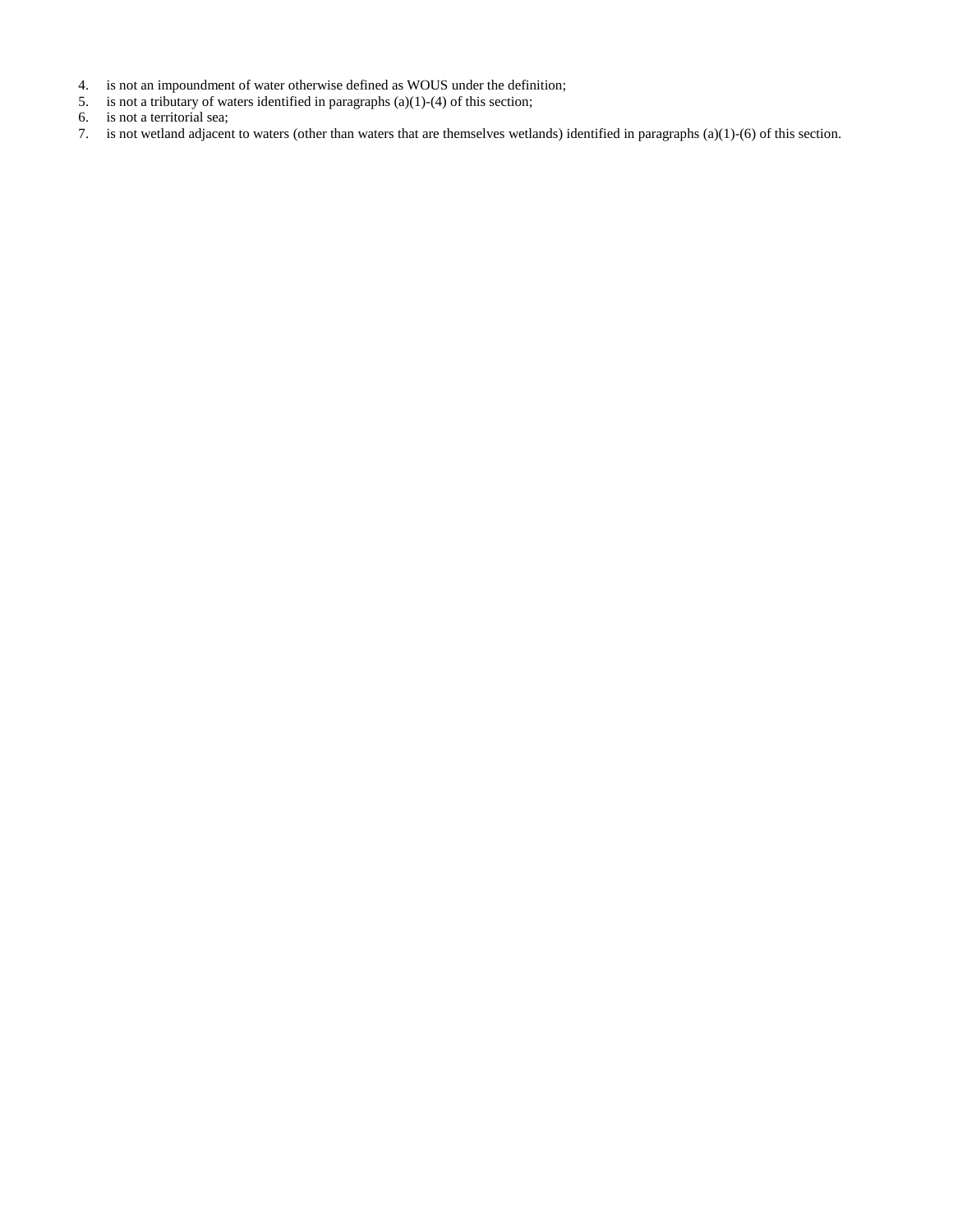- 4. is not an impoundment of water otherwise defined as WOUS under the definition;
- 5. is not a tributary of waters identified in paragraphs (a)(1)-(4) of this section;
- 6. is not a territorial sea;
- 7. is not wetland adjacent to waters (other than waters that are themselves wetlands) identified in paragraphs (a)(1)-(6) of this section.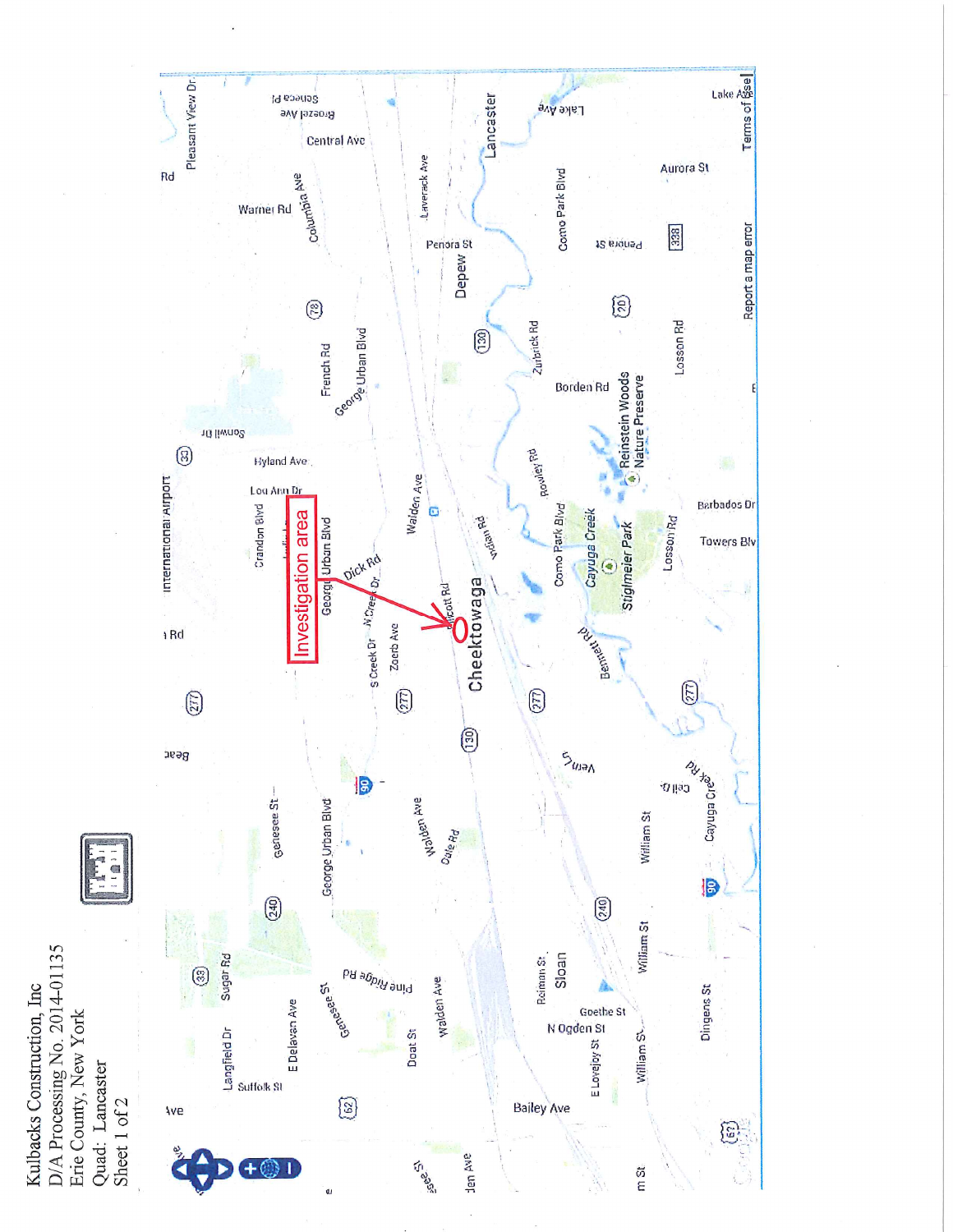



 $\frac{5}{5}$